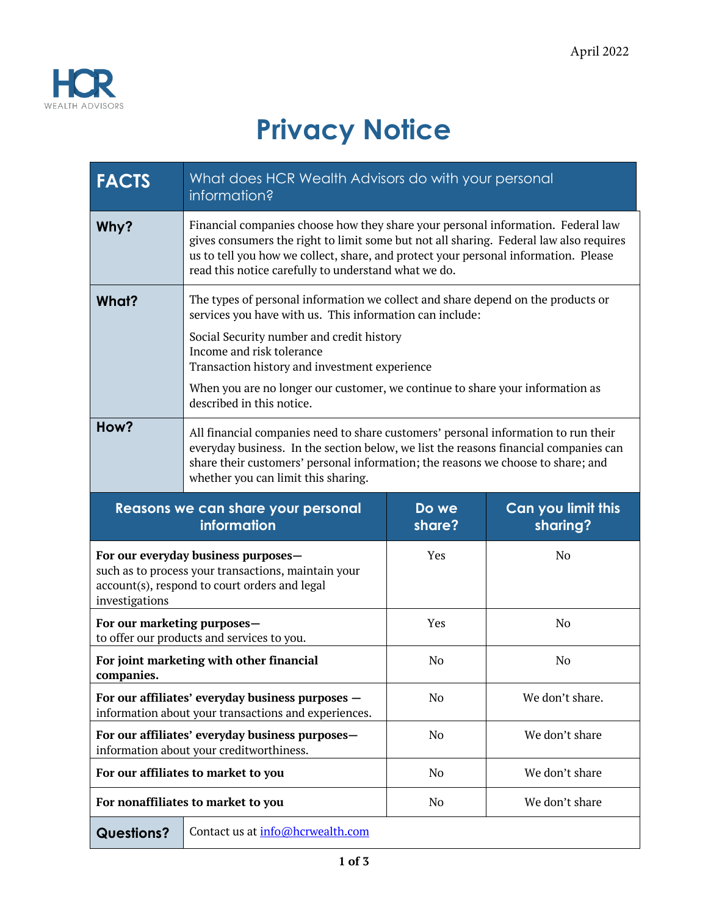

## **Privacy Notice**

| <b>FACTS</b>                                                                                                                                                  | What does HCR Wealth Advisors do with your personal<br>information?                                                                                                                                                                                                                                                       |                 |                                |
|---------------------------------------------------------------------------------------------------------------------------------------------------------------|---------------------------------------------------------------------------------------------------------------------------------------------------------------------------------------------------------------------------------------------------------------------------------------------------------------------------|-----------------|--------------------------------|
| Why?                                                                                                                                                          | Financial companies choose how they share your personal information. Federal law<br>gives consumers the right to limit some but not all sharing. Federal law also requires<br>us to tell you how we collect, share, and protect your personal information. Please<br>read this notice carefully to understand what we do. |                 |                                |
| What?                                                                                                                                                         | The types of personal information we collect and share depend on the products or<br>services you have with us. This information can include:<br>Social Security number and credit history<br>Income and risk tolerance<br>Transaction history and investment experience                                                   |                 |                                |
|                                                                                                                                                               | When you are no longer our customer, we continue to share your information as<br>described in this notice.                                                                                                                                                                                                                |                 |                                |
| How?                                                                                                                                                          | All financial companies need to share customers' personal information to run their<br>everyday business. In the section below, we list the reasons financial companies can<br>share their customers' personal information; the reasons we choose to share; and<br>whether you can limit this sharing.                     |                 |                                |
|                                                                                                                                                               | Reasons we can share your personal<br>information                                                                                                                                                                                                                                                                         | Do we<br>share? | Can you limit this<br>sharing? |
| For our everyday business purposes-<br>such as to process your transactions, maintain your<br>account(s), respond to court orders and legal<br>investigations |                                                                                                                                                                                                                                                                                                                           | Yes             | N <sub>0</sub>                 |
| For our marketing purposes-<br>to offer our products and services to you.                                                                                     |                                                                                                                                                                                                                                                                                                                           | Yes             | No                             |
| For joint marketing with other financial<br>companies.                                                                                                        |                                                                                                                                                                                                                                                                                                                           | No              | N <sub>0</sub>                 |
| For our affiliates' everyday business purposes -<br>information about your transactions and experiences.                                                      |                                                                                                                                                                                                                                                                                                                           | No              | We don't share.                |
| For our affiliates' everyday business purposes-<br>information about your creditworthiness.                                                                   |                                                                                                                                                                                                                                                                                                                           | N <sub>o</sub>  | We don't share                 |
| For our affiliates to market to you                                                                                                                           |                                                                                                                                                                                                                                                                                                                           | No              | We don't share                 |
| For nonaffiliates to market to you                                                                                                                            |                                                                                                                                                                                                                                                                                                                           | No              | We don't share                 |
| Contact us at info@hcrwealth.com<br><b>Questions?</b>                                                                                                         |                                                                                                                                                                                                                                                                                                                           |                 |                                |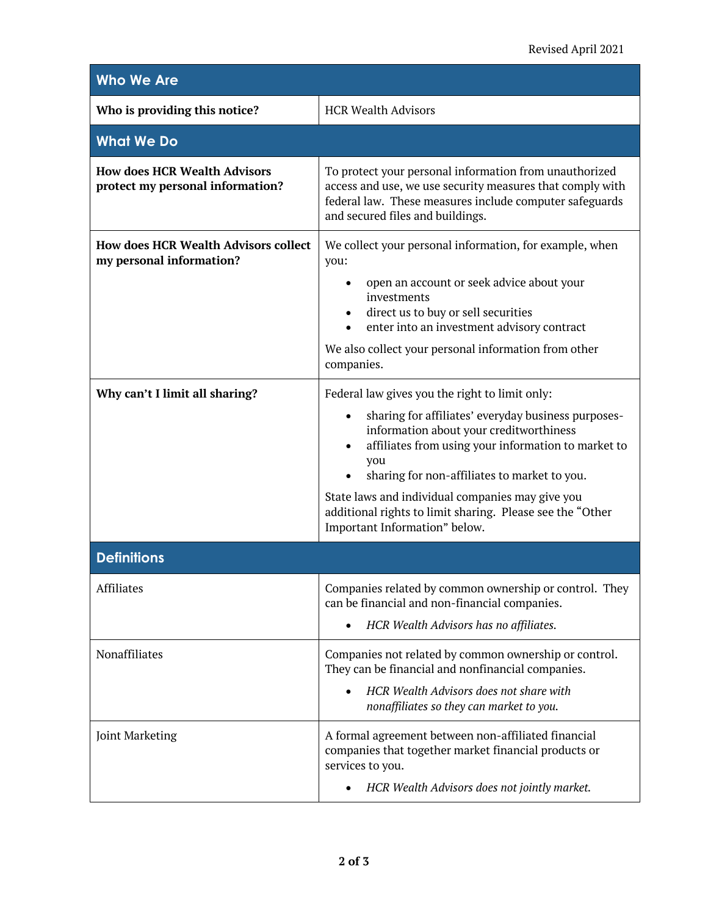| <b>Who We Are</b>                                                       |                                                                                                                                                                                                                                                                                                                                                                                                                               |  |  |
|-------------------------------------------------------------------------|-------------------------------------------------------------------------------------------------------------------------------------------------------------------------------------------------------------------------------------------------------------------------------------------------------------------------------------------------------------------------------------------------------------------------------|--|--|
| Who is providing this notice?                                           | <b>HCR Wealth Advisors</b>                                                                                                                                                                                                                                                                                                                                                                                                    |  |  |
| <b>What We Do</b>                                                       |                                                                                                                                                                                                                                                                                                                                                                                                                               |  |  |
| <b>How does HCR Wealth Advisors</b><br>protect my personal information? | To protect your personal information from unauthorized<br>access and use, we use security measures that comply with<br>federal law. These measures include computer safeguards<br>and secured files and buildings.                                                                                                                                                                                                            |  |  |
| <b>How does HCR Wealth Advisors collect</b><br>my personal information? | We collect your personal information, for example, when<br>you:<br>open an account or seek advice about your<br>٠<br>investments<br>direct us to buy or sell securities<br>enter into an investment advisory contract<br>$\bullet$<br>We also collect your personal information from other<br>companies.                                                                                                                      |  |  |
| Why can't I limit all sharing?                                          | Federal law gives you the right to limit only:<br>sharing for affiliates' everyday business purposes-<br>$\bullet$<br>information about your creditworthiness<br>affiliates from using your information to market to<br>you<br>sharing for non-affiliates to market to you.<br>State laws and individual companies may give you<br>additional rights to limit sharing. Please see the "Other<br>Important Information" below. |  |  |
| <b>Definitions</b>                                                      |                                                                                                                                                                                                                                                                                                                                                                                                                               |  |  |
| <b>Affiliates</b>                                                       | Companies related by common ownership or control. They<br>can be financial and non-financial companies.<br>HCR Wealth Advisors has no affiliates.                                                                                                                                                                                                                                                                             |  |  |
| Nonaffiliates                                                           | Companies not related by common ownership or control.<br>They can be financial and nonfinancial companies.<br>HCR Wealth Advisors does not share with<br>nonaffiliates so they can market to you.                                                                                                                                                                                                                             |  |  |
| Joint Marketing                                                         | A formal agreement between non-affiliated financial<br>companies that together market financial products or<br>services to you.<br>HCR Wealth Advisors does not jointly market.                                                                                                                                                                                                                                               |  |  |